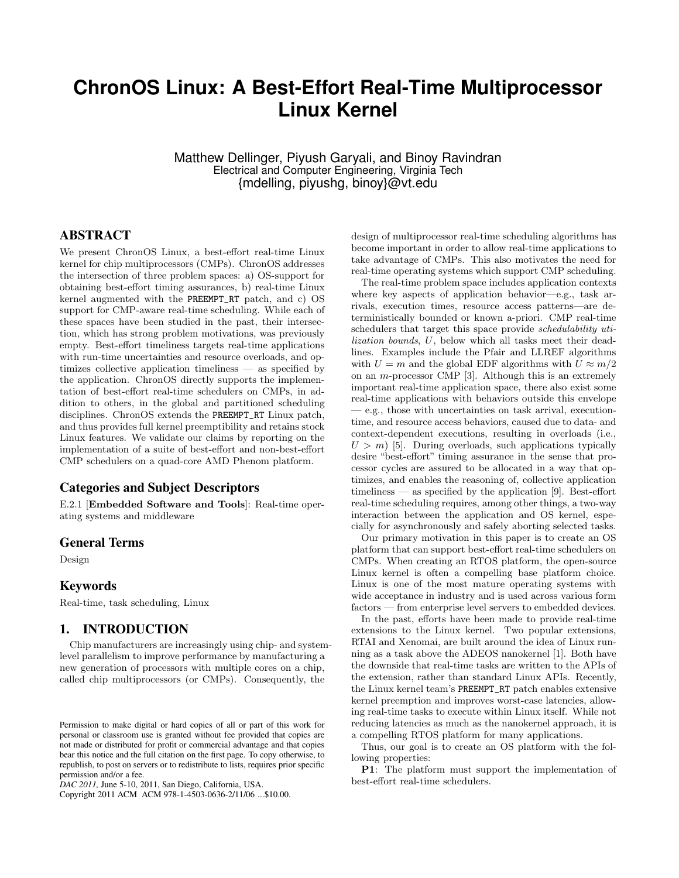# **ChronOS Linux: A Best-Effort Real-Time Multiprocessor Linux Kernel**

Matthew Dellinger, Piyush Garyali, and Binoy Ravindran Electrical and Computer Engineering, Virginia Tech {mdelling, piyushg, binoy}@vt.edu

## **ABSTRACT**

We present ChronOS Linux, a best-effort real-time Linux kernel for chip multiprocessors (CMPs). ChronOS addresses the intersection of three problem spaces: a) OS-support for obtaining best-effort timing assurances, b) real-time Linux kernel augmented with the PREEMPT\_RT patch, and c) OS support for CMP-aware real-time scheduling. While each of these spaces have been studied in the past, their intersection, which has strong problem motivations, was previously empty. Best-effort timeliness targets real-time applications with run-time uncertainties and resource overloads, and optimizes collective application timeliness — as specified by the application. ChronOS directly supports the implementation of best-effort real-time schedulers on CMPs, in addition to others, in the global and partitioned scheduling disciplines. ChronOS extends the PREEMPT\_RT Linux patch, and thus provides full kernel preemptibility and retains stock Linux features. We validate our claims by reporting on the implementation of a suite of best-effort and non-best-effort CMP schedulers on a quad-core AMD Phenom platform.

## **Categories and Subject Descriptors**

E.2.1 [Embedded Software and Tools]: Real-time operating systems and middleware

# **General Terms**

Design

## **Keywords**

Real-time, task scheduling, Linux

## **1. INTRODUCTION**

Chip manufacturers are increasingly using chip- and systemlevel parallelism to improve performance by manufacturing a new generation of processors with multiple cores on a chip, called chip multiprocessors (or CMPs). Consequently, the

Copyright 2011 ACM ACM 978-1-4503-0636-2/11/06 ...\$10.00.

design of multiprocessor real-time scheduling algorithms has become important in order to allow real-time applications to take advantage of CMPs. This also motivates the need for real-time operating systems which support CMP scheduling.

The real-time problem space includes application contexts where key aspects of application behavior—e.g., task arrivals, execution times, resource access patterns—are deterministically bounded or known a-priori. CMP real-time schedulers that target this space provide *schedulability utilization bounds*, U, below which all tasks meet their deadlines. Examples include the Pfair and LLREF algorithms with  $U = m$  and the global EDF algorithms with  $U \approx m/2$ on an m-processor CMP [3]. Although this is an extremely important real-time application space, there also exist some real-time applications with behaviors outside this envelope — e.g., those with uncertainties on task arrival, executiontime, and resource access behaviors, caused due to data- and context-dependent executions, resulting in overloads (i.e.,  $U > m$ ) [5]. During overloads, such applications typically desire "best-effort" timing assurance in the sense that processor cycles are assured to be allocated in a way that optimizes, and enables the reasoning of, collective application timeliness — as specified by the application [9]. Best-effort real-time scheduling requires, among other things, a two-way interaction between the application and OS kernel, especially for asynchronously and safely aborting selected tasks.

Our primary motivation in this paper is to create an OS platform that can support best-effort real-time schedulers on CMPs. When creating an RTOS platform, the open-source Linux kernel is often a compelling base platform choice. Linux is one of the most mature operating systems with wide acceptance in industry and is used across various form factors — from enterprise level servers to embedded devices.

In the past, efforts have been made to provide real-time extensions to the Linux kernel. Two popular extensions, RTAI and Xenomai, are built around the idea of Linux running as a task above the ADEOS nanokernel [1]. Both have the downside that real-time tasks are written to the APIs of the extension, rather than standard Linux APIs. Recently, the Linux kernel team's PREEMPT\_RT patch enables extensive kernel preemption and improves worst-case latencies, allowing real-time tasks to execute within Linux itself. While not reducing latencies as much as the nanokernel approach, it is a compelling RTOS platform for many applications.

Thus, our goal is to create an OS platform with the following properties:

P1: The platform must support the implementation of best-effort real-time schedulers.

Permission to make digital or hard copies of all or part of this work for personal or classroom use is granted without fee provided that copies are not made or distributed for profit or commercial advantage and that copies bear this notice and the full citation on the first page. To copy otherwise, to republish, to post on servers or to redistribute to lists, requires prior specific permission and/or a fee.

*DAC 2011,* June 5-10, 2011, San Diego, California, USA.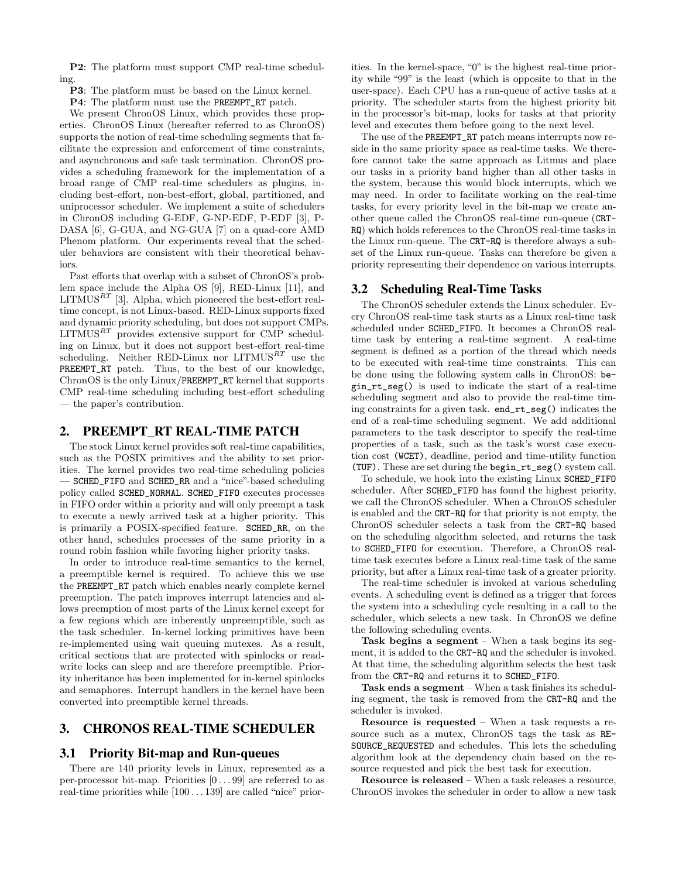P2: The platform must support CMP real-time scheduling.

P3: The platform must be based on the Linux kernel.

P4: The platform must use the PREEMPT\_RT patch.

We present ChronOS Linux, which provides these properties. ChronOS Linux (hereafter referred to as ChronOS) supports the notion of real-time scheduling segments that facilitate the expression and enforcement of time constraints, and asynchronous and safe task termination. ChronOS provides a scheduling framework for the implementation of a broad range of CMP real-time schedulers as plugins, including best-effort, non-best-effort, global, partitioned, and uniprocessor scheduler. We implement a suite of schedulers in ChronOS including G-EDF, G-NP-EDF, P-EDF [3], P-DASA [6], G-GUA, and NG-GUA [7] on a quad-core AMD Phenom platform. Our experiments reveal that the scheduler behaviors are consistent with their theoretical behaviors.

Past efforts that overlap with a subset of ChronOS's problem space include the Alpha OS [9], RED-Linux [11], and  $LITMUS<sup>RT</sup>$  [3]. Alpha, which pioneered the best-effort realtime concept, is not Linux-based. RED-Linux supports fixed and dynamic priority scheduling, but does not support CMPs.  $LITMUS<sup>RT</sup>$  provides extensive support for CMP scheduling on Linux, but it does not support best-effort real-time scheduling. Neither RED-Linux nor  $LITMUS^{RT}$  use the PREEMPT\_RT patch. Thus, to the best of our knowledge, ChronOS is the only Linux/PREEMPT\_RT kernel that supports CMP real-time scheduling including best-effort scheduling — the paper's contribution.

#### **2. PREEMPT\_RT REAL-TIME PATCH**

The stock Linux kernel provides soft real-time capabilities, such as the POSIX primitives and the ability to set priorities. The kernel provides two real-time scheduling policies — SCHED\_FIFO and SCHED\_RR and a "nice"-based scheduling policy called SCHED\_NORMAL. SCHED\_FIFO executes processes in FIFO order within a priority and will only preempt a task to execute a newly arrived task at a higher priority. This is primarily a POSIX-specified feature. SCHED\_RR, on the other hand, schedules processes of the same priority in a round robin fashion while favoring higher priority tasks.

In order to introduce real-time semantics to the kernel, a preemptible kernel is required. To achieve this we use the PREEMPT\_RT patch which enables nearly complete kernel preemption. The patch improves interrupt latencies and allows preemption of most parts of the Linux kernel except for a few regions which are inherently unpreemptible, such as the task scheduler. In-kernel locking primitives have been re-implemented using wait queuing mutexes. As a result, critical sections that are protected with spinlocks or readwrite locks can sleep and are therefore preemptible. Priority inheritance has been implemented for in-kernel spinlocks and semaphores. Interrupt handlers in the kernel have been converted into preemptible kernel threads.

## **3. CHRONOS REAL-TIME SCHEDULER**

#### **3.1 Priority Bit-map and Run-queues**

There are 140 priority levels in Linux, represented as a per-processor bit-map. Priorities  $[0 \dots 99]$  are referred to as real-time priorities while [100 . . . 139] are called "nice" priorities. In the kernel-space, "0" is the highest real-time priority while "99" is the least (which is opposite to that in the user-space). Each CPU has a run-queue of active tasks at a priority. The scheduler starts from the highest priority bit in the processor's bit-map, looks for tasks at that priority level and executes them before going to the next level.

The use of the PREEMPT\_RT patch means interrupts now reside in the same priority space as real-time tasks. We therefore cannot take the same approach as Litmus and place our tasks in a priority band higher than all other tasks in the system, because this would block interrupts, which we may need. In order to facilitate working on the real-time tasks, for every priority level in the bit-map we create another queue called the ChronOS real-time run-queue (CRT-RQ) which holds references to the ChronOS real-time tasks in the Linux run-queue. The CRT-RQ is therefore always a subset of the Linux run-queue. Tasks can therefore be given a priority representing their dependence on various interrupts.

#### **3.2 Scheduling Real-Time Tasks**

The ChronOS scheduler extends the Linux scheduler. Every ChronOS real-time task starts as a Linux real-time task scheduled under SCHED\_FIFO. It becomes a ChronOS realtime task by entering a real-time segment. A real-time segment is defined as a portion of the thread which needs to be executed with real-time time constraints. This can be done using the following system calls in ChronOS: begin\_rt\_seg() is used to indicate the start of a real-time scheduling segment and also to provide the real-time timing constraints for a given task. end\_rt\_seg() indicates the end of a real-time scheduling segment. We add additional parameters to the task descriptor to specify the real-time properties of a task, such as the task's worst case execution cost (WCET), deadline, period and time-utility function (TUF). These are set during the begin\_rt\_seg() system call.

To schedule, we hook into the existing Linux SCHED\_FIFO scheduler. After SCHED\_FIFO has found the highest priority, we call the ChronOS scheduler. When a ChronOS scheduler is enabled and the CRT-RQ for that priority is not empty, the ChronOS scheduler selects a task from the CRT-RQ based on the scheduling algorithm selected, and returns the task to SCHED\_FIFO for execution. Therefore, a ChronOS realtime task executes before a Linux real-time task of the same priority, but after a Linux real-time task of a greater priority.

The real-time scheduler is invoked at various scheduling events. A scheduling event is defined as a trigger that forces the system into a scheduling cycle resulting in a call to the scheduler, which selects a new task. In ChronOS we define the following scheduling events.

Task begins a segment – When a task begins its segment, it is added to the CRT-RQ and the scheduler is invoked. At that time, the scheduling algorithm selects the best task from the CRT-RQ and returns it to SCHED\_FIFO.

Task ends a segment – When a task finishes its scheduling segment, the task is removed from the CRT-RQ and the scheduler is invoked.

Resource is requested – When a task requests a resource such as a mutex, ChronOS tags the task as RE-SOURCE\_REQUESTED and schedules. This lets the scheduling algorithm look at the dependency chain based on the resource requested and pick the best task for execution.

Resource is released – When a task releases a resource, ChronOS invokes the scheduler in order to allow a new task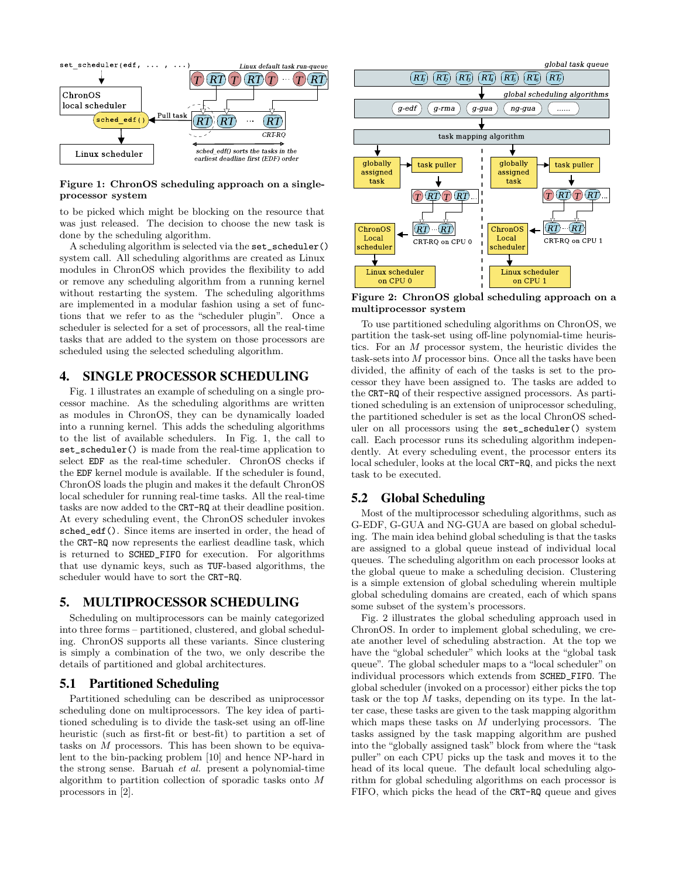

Figure 1: ChronOS scheduling approach on a singleprocessor system

to be picked which might be blocking on the resource that was just released. The decision to choose the new task is done by the scheduling algorithm.

A scheduling algorithm is selected via the set\_scheduler() system call. All scheduling algorithms are created as Linux modules in ChronOS which provides the flexibility to add or remove any scheduling algorithm from a running kernel without restarting the system. The scheduling algorithms are implemented in a modular fashion using a set of functions that we refer to as the "scheduler plugin". Once a scheduler is selected for a set of processors, all the real-time tasks that are added to the system on those processors are scheduled using the selected scheduling algorithm.

## **4. SINGLE PROCESSOR SCHEDULING**

Fig. 1 illustrates an example of scheduling on a single processor machine. As the scheduling algorithms are written as modules in ChronOS, they can be dynamically loaded into a running kernel. This adds the scheduling algorithms to the list of available schedulers. In Fig. 1, the call to set\_scheduler() is made from the real-time application to select EDF as the real-time scheduler. ChronOS checks if the EDF kernel module is available. If the scheduler is found, ChronOS loads the plugin and makes it the default ChronOS local scheduler for running real-time tasks. All the real-time tasks are now added to the CRT-RQ at their deadline position. At every scheduling event, the ChronOS scheduler invokes sched\_edf(). Since items are inserted in order, the head of the CRT-RQ now represents the earliest deadline task, which is returned to SCHED\_FIFO for execution. For algorithms that use dynamic keys, such as TUF-based algorithms, the scheduler would have to sort the CRT-RQ.

## **5. MULTIPROCESSOR SCHEDULING**

Scheduling on multiprocessors can be mainly categorized into three forms – partitioned, clustered, and global scheduling. ChronOS supports all these variants. Since clustering is simply a combination of the two, we only describe the details of partitioned and global architectures.

#### **5.1 Partitioned Scheduling**

Partitioned scheduling can be described as uniprocessor scheduling done on multiprocessors. The key idea of partitioned scheduling is to divide the task-set using an off-line heuristic (such as first-fit or best-fit) to partition a set of tasks on M processors. This has been shown to be equivalent to the bin-packing problem [10] and hence NP-hard in the strong sense. Baruah *et al.* present a polynomial-time algorithm to partition collection of sporadic tasks onto M processors in [2].



Figure 2: ChronOS global scheduling approach on a multiprocessor system

To use partitioned scheduling algorithms on ChronOS, we partition the task-set using off-line polynomial-time heuristics. For an M processor system, the heuristic divides the task-sets into M processor bins. Once all the tasks have been divided, the affinity of each of the tasks is set to the processor they have been assigned to. The tasks are added to the CRT-RQ of their respective assigned processors. As partitioned scheduling is an extension of uniprocessor scheduling, the partitioned scheduler is set as the local ChronOS scheduler on all processors using the set\_scheduler() system call. Each processor runs its scheduling algorithm independently. At every scheduling event, the processor enters its local scheduler, looks at the local CRT-RQ, and picks the next task to be executed.

## **5.2 Global Scheduling**

Most of the multiprocessor scheduling algorithms, such as G-EDF, G-GUA and NG-GUA are based on global scheduling. The main idea behind global scheduling is that the tasks are assigned to a global queue instead of individual local queues. The scheduling algorithm on each processor looks at the global queue to make a scheduling decision. Clustering is a simple extension of global scheduling wherein multiple global scheduling domains are created, each of which spans some subset of the system's processors.

Fig. 2 illustrates the global scheduling approach used in ChronOS. In order to implement global scheduling, we create another level of scheduling abstraction. At the top we have the "global scheduler" which looks at the "global task queue". The global scheduler maps to a "local scheduler" on individual processors which extends from SCHED\_FIFO. The global scheduler (invoked on a processor) either picks the top task or the top  $M$  tasks, depending on its type. In the latter case, these tasks are given to the task mapping algorithm which maps these tasks on M underlying processors. The tasks assigned by the task mapping algorithm are pushed into the "globally assigned task" block from where the "task puller" on each CPU picks up the task and moves it to the head of its local queue. The default local scheduling algorithm for global scheduling algorithms on each processor is FIFO, which picks the head of the CRT-RQ queue and gives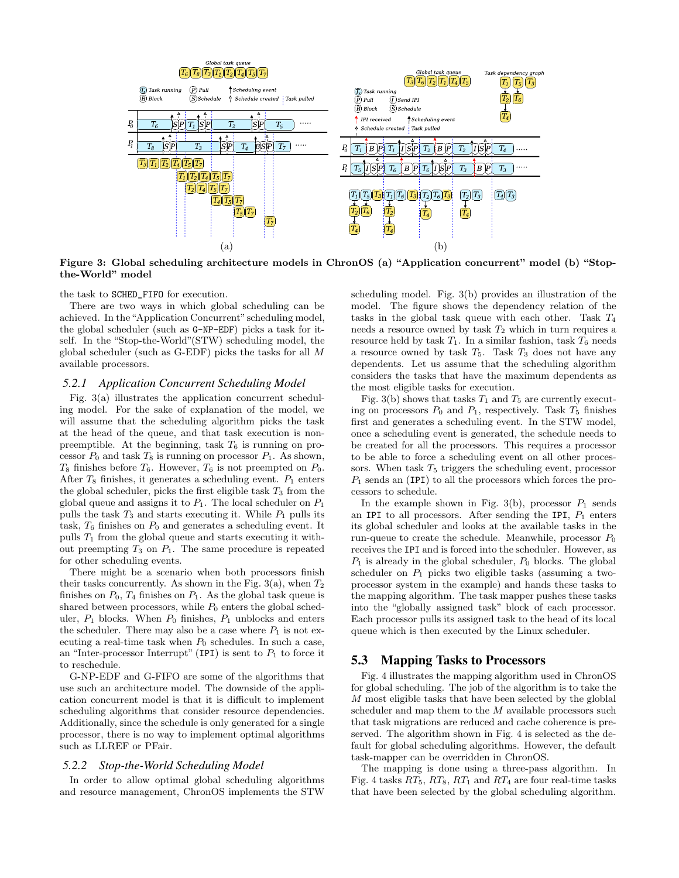

Figure 3: Global scheduling architecture models in ChronOS (a) "Application concurrent" model (b) "Stopthe-World" model

the task to SCHED\_FIFO for execution.

There are two ways in which global scheduling can be achieved. In the"Application Concurrent" scheduling model, the global scheduler (such as G-NP-EDF) picks a task for itself. In the "Stop-the-World"(STW) scheduling model, the global scheduler (such as G-EDF) picks the tasks for all M available processors.

#### *5.2.1 Application Concurrent Scheduling Model*

Fig. 3(a) illustrates the application concurrent scheduling model. For the sake of explanation of the model, we will assume that the scheduling algorithm picks the task at the head of the queue, and that task execution is nonpreemptible. At the beginning, task  $T_6$  is running on processor  $P_0$  and task  $T_8$  is running on processor  $P_1$ . As shown,  $T_8$  finishes before  $T_6$ . However,  $T_6$  is not preempted on  $P_0$ . After  $T_8$  finishes, it generates a scheduling event.  $P_1$  enters the global scheduler, picks the first eligible task  $T_3$  from the global queue and assigns it to  $P_1$ . The local scheduler on  $P_1$ pulls the task  $T_3$  and starts executing it. While  $P_1$  pulls its task,  $T_6$  finishes on  $P_0$  and generates a scheduling event. It pulls  $T_1$  from the global queue and starts executing it without preempting  $T_3$  on  $P_1$ . The same procedure is repeated for other scheduling events.

There might be a scenario when both processors finish their tasks concurrently. As shown in the Fig. 3(a), when  $T_2$ finishes on  $P_0$ ,  $T_4$  finishes on  $P_1$ . As the global task queue is shared between processors, while  $P_0$  enters the global scheduler,  $P_1$  blocks. When  $P_0$  finishes,  $P_1$  unblocks and enters the scheduler. There may also be a case where  $P_1$  is not executing a real-time task when  $P_0$  schedules. In such a case, an "Inter-processor Interrupt" (IPI) is sent to  $P_1$  to force it to reschedule.

G-NP-EDF and G-FIFO are some of the algorithms that use such an architecture model. The downside of the application concurrent model is that it is difficult to implement scheduling algorithms that consider resource dependencies. Additionally, since the schedule is only generated for a single processor, there is no way to implement optimal algorithms such as LLREF or PFair.

#### *5.2.2 Stop-the-World Scheduling Model*

In order to allow optimal global scheduling algorithms and resource management, ChronOS implements the STW scheduling model. Fig. 3(b) provides an illustration of the model. The figure shows the dependency relation of the tasks in the global task queue with each other. Task  $T_4$ needs a resource owned by task  $T_2$  which in turn requires a resource held by task  $T_1$ . In a similar fashion, task  $T_6$  needs a resource owned by task  $T_5$ . Task  $T_3$  does not have any dependents. Let us assume that the scheduling algorithm considers the tasks that have the maximum dependents as the most eligible tasks for execution.

Fig. 3(b) shows that tasks  $T_1$  and  $T_5$  are currently executing on processors  $P_0$  and  $P_1$ , respectively. Task  $T_5$  finishes first and generates a scheduling event. In the STW model, once a scheduling event is generated, the schedule needs to be created for all the processors. This requires a processor to be able to force a scheduling event on all other processors. When task  $T_5$  triggers the scheduling event, processor  $P_1$  sends an (IPI) to all the processors which forces the processors to schedule.

In the example shown in Fig. 3(b), processor  $P_1$  sends an IPI to all processors. After sending the IPI,  $P_1$  enters its global scheduler and looks at the available tasks in the run-queue to create the schedule. Meanwhile, processor  $P_0$ receives the IPI and is forced into the scheduler. However, as  $P_1$  is already in the global scheduler,  $P_0$  blocks. The global scheduler on  $P_1$  picks two eligible tasks (assuming a twoprocessor system in the example) and hands these tasks to the mapping algorithm. The task mapper pushes these tasks into the "globally assigned task" block of each processor. Each processor pulls its assigned task to the head of its local queue which is then executed by the Linux scheduler.

#### **5.3 Mapping Tasks to Processors**

Fig. 4 illustrates the mapping algorithm used in ChronOS for global scheduling. The job of the algorithm is to take the M most eligible tasks that have been selected by the globlal scheduler and map them to the M available processors such that task migrations are reduced and cache coherence is preserved. The algorithm shown in Fig. 4 is selected as the default for global scheduling algorithms. However, the default task-mapper can be overridden in ChronOS.

The mapping is done using a three-pass algorithm. In Fig. 4 tasks  $RT_5$ ,  $RT_8$ ,  $RT_1$  and  $RT_4$  are four real-time tasks that have been selected by the global scheduling algorithm.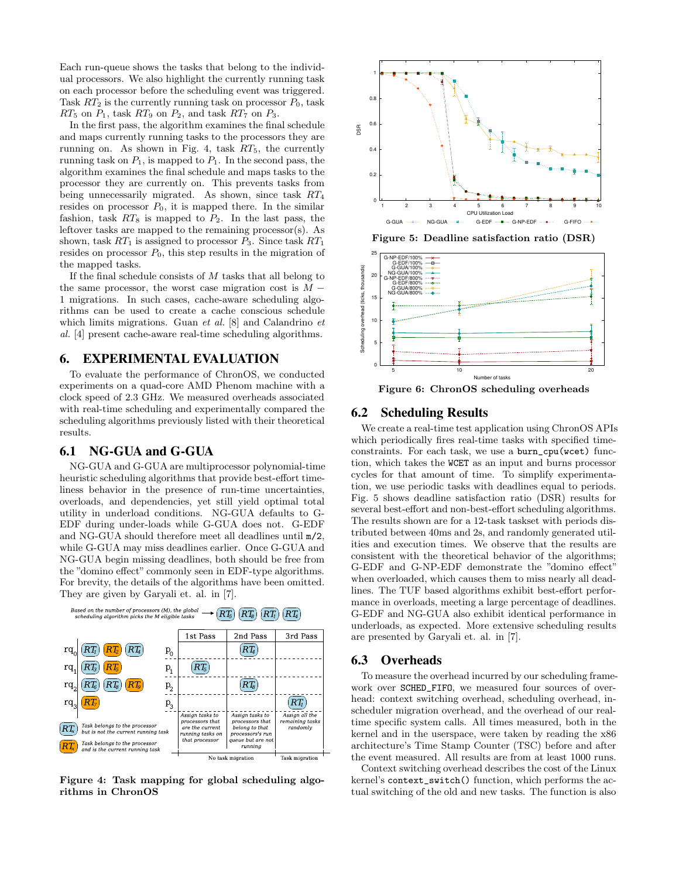Each run-queue shows the tasks that belong to the individual processors. We also highlight the currently running task on each processor before the scheduling event was triggered. Task  $RT_2$  is the currently running task on processor  $P_0$ , task  $RT_5$  on  $P_1$ , task  $RT_9$  on  $P_2$ , and task  $RT_7$  on  $P_3$ .

In the first pass, the algorithm examines the final schedule and maps currently running tasks to the processors they are running on. As shown in Fig. 4, task  $RT_5$ , the currently running task on  $P_1$ , is mapped to  $P_1$ . In the second pass, the algorithm examines the final schedule and maps tasks to the processor they are currently on. This prevents tasks from being unnecessarily migrated. As shown, since task  $RT_4$ resides on processor  $P_0$ , it is mapped there. In the similar fashion, task  $RT_8$  is mapped to  $P_2$ . In the last pass, the leftover tasks are mapped to the remaining processor(s). As shown, task  $RT_1$  is assigned to processor  $P_3$ . Since task  $RT_1$ resides on processor  $P_0$ , this step results in the migration of the mapped tasks.

If the final schedule consists of  $M$  tasks that all belong to the same processor, the worst case migration cost is  $M -$ 1 migrations. In such cases, cache-aware scheduling algorithms can be used to create a cache conscious schedule which limits migrations. Guan *et al.* [8] and Calandrino *et al.* [4] present cache-aware real-time scheduling algorithms.

## **6. EXPERIMENTAL EVALUATION**

To evaluate the performance of ChronOS, we conducted experiments on a quad-core AMD Phenom machine with a clock speed of 2.3 GHz. We measured overheads associated with real-time scheduling and experimentally compared the scheduling algorithms previously listed with their theoretical results.

# **6.1 NG-GUA and G-GUA**

NG-GUA and G-GUA are multiprocessor polynomial-time heuristic scheduling algorithms that provide best-effort timeliness behavior in the presence of run-time uncertainties, overloads, and dependencies, yet still yield optimal total utility in underload conditions. NG-GUA defaults to G-EDF during under-loads while G-GUA does not. G-EDF and NG-GUA should therefore meet all deadlines until m/2, while G-GUA may miss deadlines earlier. Once G-GUA and NG-GUA begin missing deadlines, both should be free from the "domino effect" commonly seen in EDF-type algorithms. For brevity, the details of the algorithms have been omitted. They are given by Garyali et. al. in [7].



Figure 4: Task mapping for global scheduling algorithms in ChronOS



Figure 5: Deadline satisfaction ratio (DSR)



Figure 6: ChronOS scheduling overheads

# **6.2 Scheduling Results**

We create a real-time test application using ChronOS APIs which periodically fires real-time tasks with specified timeconstraints. For each task, we use a burn\_cpu(wcet) function, which takes the WCET as an input and burns processor cycles for that amount of time. To simplify experimentation, we use periodic tasks with deadlines equal to periods. Fig. 5 shows deadline satisfaction ratio (DSR) results for several best-effort and non-best-effort scheduling algorithms. The results shown are for a 12-task taskset with periods distributed between 40ms and 2s, and randomly generated utilities and execution times. We observe that the results are consistent with the theoretical behavior of the algorithms; G-EDF and G-NP-EDF demonstrate the "domino effect" when overloaded, which causes them to miss nearly all deadlines. The TUF based algorithms exhibit best-effort performance in overloads, meeting a large percentage of deadlines. G-EDF and NG-GUA also exhibit identical performance in underloads, as expected. More extensive scheduling results are presented by Garyali et. al. in [7].

#### **6.3 Overheads**

To measure the overhead incurred by our scheduling framework over SCHED\_FIFO, we measured four sources of overhead: context switching overhead, scheduling overhead, inscheduler migration overhead, and the overhead of our realtime specific system calls. All times measured, both in the kernel and in the userspace, were taken by reading the x86 architecture's Time Stamp Counter (TSC) before and after the event measured. All results are from at least 1000 runs.

Context switching overhead describes the cost of the Linux kernel's context\_switch() function, which performs the actual switching of the old and new tasks. The function is also